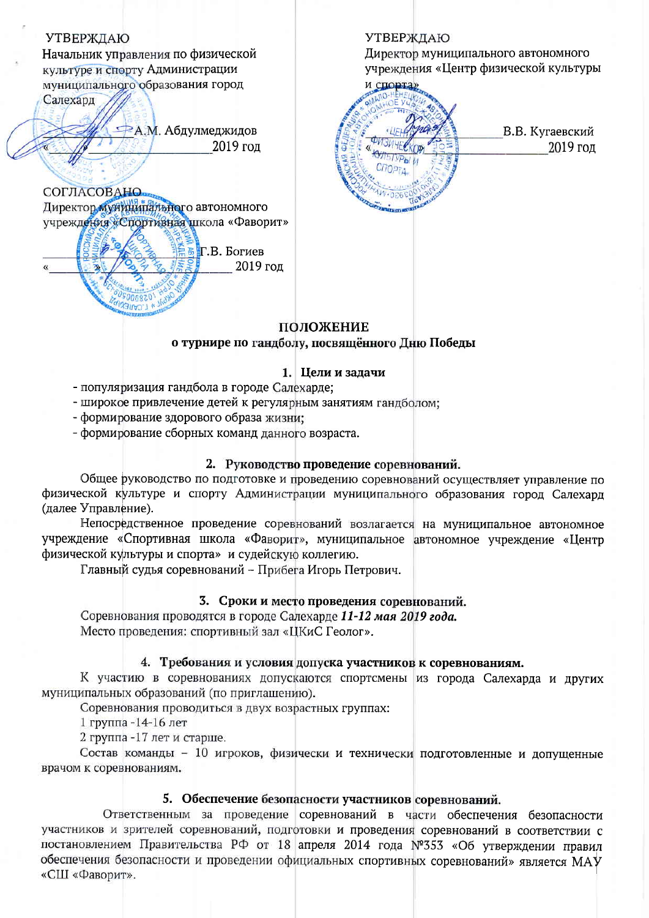

# ПОЛОЖЕНИЕ о турнире по гандболу, посвящённого Дню Победы

## 1. Цели и задачи

- популяризация гандбола в городе Салехарде;
- широкое привлечение детей к регулярным занятиям гандболом;
- формирование здорового образа жизни;
- формирование сборных команд данного возраста.

# 2. Руководство проведение соревнований.

Общее руководство по подготовке и проведению соревнований осуществляет управление по физической культуре и спорту Администрации муниципального образования город Салехард (далее Управление).

Непосредственное проведение соревнований возлагается на муниципальное автономное учреждение «Спортивная школа «Фаворит», муниципальное автономное учреждение «Центр физической культуры и спорта» и судейскую коллегию.

Главный судья соревнований - Прибега Игорь Петрович.

# 3. Сроки и место проведения соревнований.

Соревнования проводятся в городе Салехарде 11-12 мая 2019 года. Место проведения: спортивный зал «ЦКиС Геолог».

## 4. Требования и условия допуска участников к соревнованиям.

К участию в соревнованиях допускаются спортсмены из города Салехарда и других муниципальных образований (по приглашению).

Соревнования проводиться в двух возрастных группах:

1 группа -14-16 лет

2 группа -17 лет и старше.

Состав команды - 10 игроков, физически и технически подготовленные и допущенные врачом к соревнованиям.

## 5. Обеспечение безопасности участников соревнований.

Ответственным за проведение соревнований в части обеспечения безопасности участников и зрителей соревнований, подготовки и проведения соревнований в соответствии с постановлением Правительства РФ от 18 апреля 2014 года №353 «Об утверждении правил обеспечения безопасности и проведении официальных спортивных соревнований» является МАУ «СШ «Фаворит».